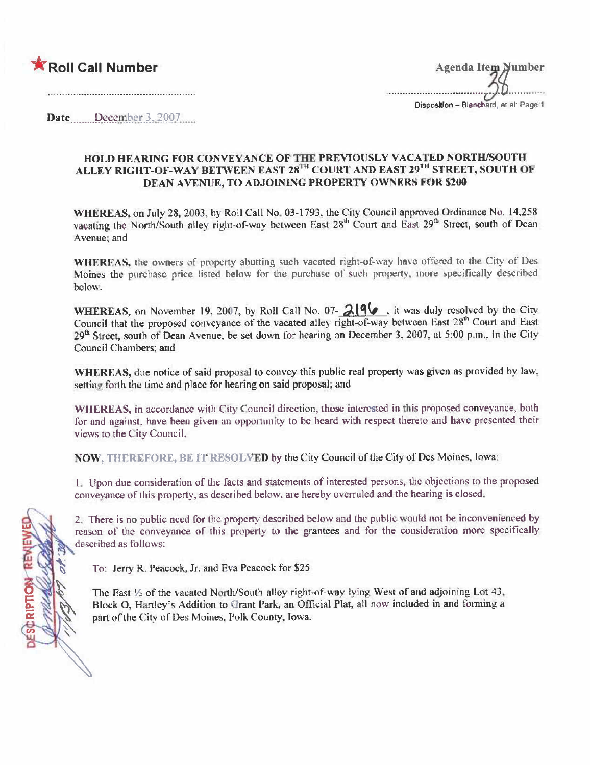

**ABL NOLIGINES** 

**Agenda Item Number** Disposition - Blanchard, et al: Page 1

Date December 3, 2007

## **HOLD HEARING FOR CONVEYANCE OF THE PREVIOUSLY VACATED NORTH/SOUTH** ALLEY RIGHT-OF-WAY BETWEEN EAST 28<sup>TH</sup> COURT AND EAST 29<sup>TH</sup> STREET, SOUTH OF DEAN AVENUE, TO ADJOINING PROPERTY OWNERS FOR \$200

WHEREAS, on July 28, 2003, by Roll Call No. 03-1793, the City Council approved Ordinance No. 14,258 vacating the North/South alley right-of-way between East 28<sup>th</sup> Court and East 29<sup>th</sup> Street, south of Dean Avenue: and

**WHEREAS**, the owners of property abutting such vacated right-of-way have offered to the City of Des Moines the purchase price listed below for the purchase of such property, more specifically described below.

WHEREAS, on November 19, 2007, by Roll Call No. 07- 2196. it was duly resolved by the City Council that the proposed conveyance of the vacated alley right-of-way between East 28<sup>th</sup> Court and East  $29<sup>th</sup>$  Street, south of Dean Avenue, be set down for hearing on December 3, 2007, at 5:00 p.m., in the City Council Chambers: and

WHEREAS, due notice of said proposal to convey this public real property was given as provided by law. setting forth the time and place for hearing on said proposal; and

WHEREAS, in accordance with City Council direction, those interested in this proposed conveyance, both for and against, have been given an opportunity to be heard with respect thereto and have presented their views to the City Council.

NOW, THEREFORE, BE IT RESOLVED by the City Council of the City of Des Moines, Iowa:

1. Upon due consideration of the facts and statements of interested persons, the objections to the proposed conveyance of this property, as described below, are hereby overruled and the hearing is closed.

2. There is no public need for the property described below and the public would not be inconvenienced by reason of the conveyance of this property to the grantees and for the consideration more specifically described as follows:

To: Jerry R. Peacock, Jr. and Eva Peacock for \$25

The East 1/2 of the vacated North/South alley right-of-way lying West of and adjoining Lot 43. Block O. Hartley's Addition to Grant Park, an Official Plat, all now included in and forming a part of the City of Des Moines, Polk County, Iowa.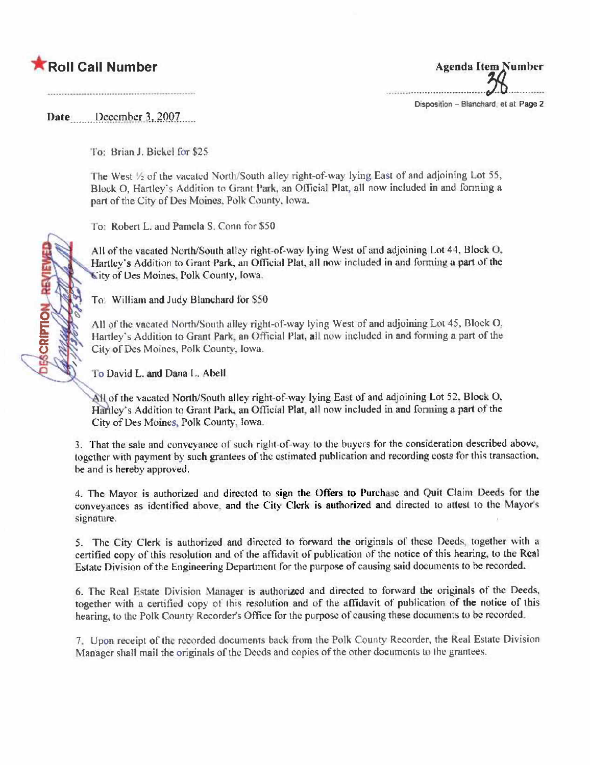## Roll Call Number

**Agenda Item Number** Disposition - Blanchard, et al: Page 2

Date December 3, 2007

To: Brian J. Bickel for \$25

The West 1/2 of the vacated North/South alley right-of-way lying East of and adjoining Lot 55, Block O, Hartley's Addition to Grant Park, an Official Plat, all now included in and forming a part of the City of Des Moines, Polk County, Iowa.

To: Robert L. and Pamela S. Conn for \$50

All of the vacated North/South alley right-of-way lying West of and adjoining Lot 44, Block O. Hartley's Addition to Grant Park, an Official Plat, all now included in and forming a part of the City of Des Moines. Polk County, Iowa.

To: William and Judy Blanchard for \$50

All of the vacated North/South alley right-of-way lying West of and adjoining Lot 45, Block O. Hartley's Addition to Grant Park, an Official Plat, all now included in and forming a part of the City of Des Moines, Polk County, Iowa.

To David L. and Dana L. Abell

All of the vacated North/South alley right-of-way lying East of and adjoining Lot 52, Block O, Hartley's Addition to Grant Park, an Official Plat, all now included in and forming a part of the City of Des Moines, Polk County, Iowa.

3. That the sale and conveyance of such right-of-way to the buyers for the consideration described above, together with payment by such grantees of the estimated publication and recording costs for this transaction, be and is hereby approved.

4. The Mayor is authorized and directed to sign the Offers to Purchase and Quit Claim Deeds for the conveyances as identified above, and the City Clerk is authorized and directed to attest to the Mayor's signature.

5. The City Clerk is authorized and directed to forward the originals of these Deeds, together with a certified copy of this resolution and of the affidavit of publication of the notice of this hearing, to the Real Estate Division of the Engineering Department for the purpose of causing said documents to be recorded.

6. The Real Estate Division Manager is authorized and directed to forward the originals of the Deeds, together with a certified copy of this resolution and of the affidavit of publication of the notice of this hearing, to the Polk County Recorder's Office for the purpose of causing these documents to be recorded.

7. Upon receipt of the recorded documents back from the Polk County Recorder, the Real Estate Division Manager shall mail the originals of the Deeds and copies of the other documents to the grantees.

CRIFTIC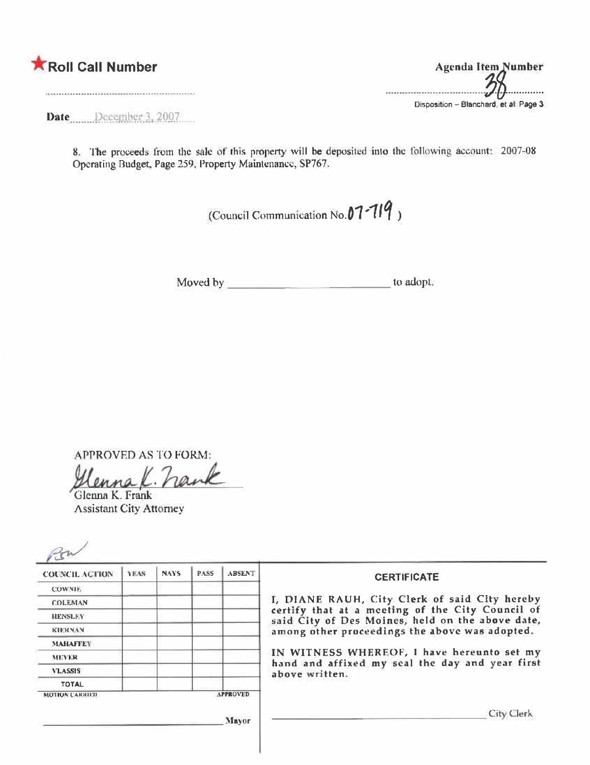

|  |  | ______ |
|--|--|--------|

**Agenda Item Number** . . . . . . . . . Disposition - Blanchard, et al: Page 3

Date December 3, 2007

8. The proceeds from the sale of this property will be deposited into the following account: 2007-08 Operating Budget, Page 259, Property Maintenance, SP767.

(Council Communication No.07-719)

**APPROVED AS TO FORM:** 

hank nna

Glenna K. Frank **Assistant City Attorney** 

 $\sim$ /

| <b>COUNCIL ACTION</b> | YEAS | <b>NAYS</b> | <b>PASS</b> | <b>ABSENT</b>   | <b>CERTIFICATE</b>                                                                                                                                     |  |  |
|-----------------------|------|-------------|-------------|-----------------|--------------------------------------------------------------------------------------------------------------------------------------------------------|--|--|
| <b>COWNIE</b>         |      |             |             |                 |                                                                                                                                                        |  |  |
| <b>COLEMAN</b>        |      |             |             |                 | I, DIANE RAUH, City Clerk of said City hereby                                                                                                          |  |  |
| <b>HENSLEY</b>        |      |             |             |                 | certify that at a meeting of the City Council of<br>said City of Des Moines, held on the above date,<br>among other proceedings the above was adopted. |  |  |
| <b>KIERNAN</b>        |      |             |             |                 |                                                                                                                                                        |  |  |
| <b>MAHAFFEY</b>       |      |             |             |                 |                                                                                                                                                        |  |  |
| <b>MEYER</b>          |      |             |             |                 | IN WITNESS WHEREOF, I have hereunto set my<br>hand and affixed my seal the day and year first                                                          |  |  |
| <b>VLASSIS</b>        |      |             |             |                 | above written.                                                                                                                                         |  |  |
| TOTAL                 |      |             |             |                 |                                                                                                                                                        |  |  |
| <b>MOTION CARRIED</b> |      |             |             | <b>APPROVED</b> |                                                                                                                                                        |  |  |
|                       |      |             |             | Мауог           | City Clerk                                                                                                                                             |  |  |